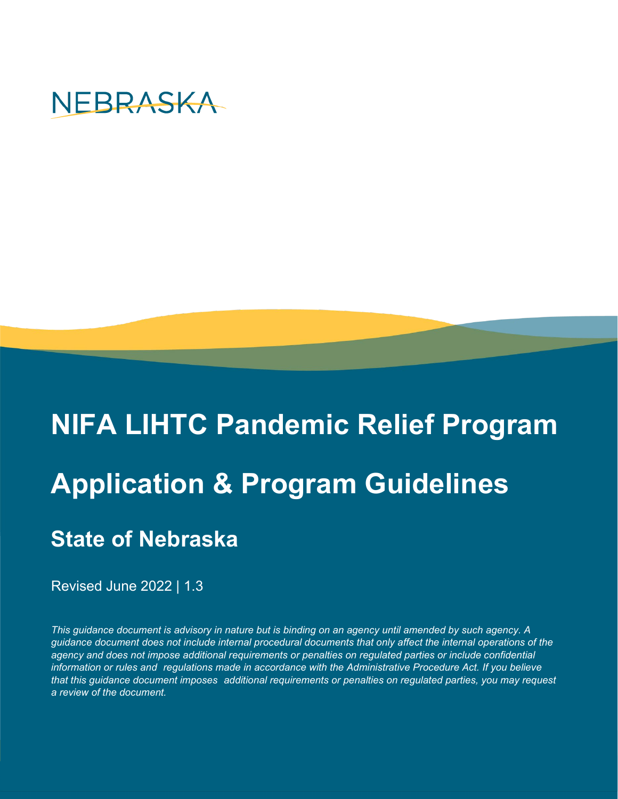

# **NIFA LIHTC Pandemic Relief Program Application & Program Guidelines State of Nebraska**

Revised June 2022 | 1.3

*This guidance document is advisory in nature but is binding on an agency until amended by such agency. A guidance document does not include internal procedural documents that only affect the internal operations of the* agency and does not impose additional requirements or penalties on regulated parties or include confidential *information or rules and regulations made in accordance with the Administrative Procedure Act. If you believe that this guidance document imposes additional requirements or penalties on regulated parties, you may request a review of the document.*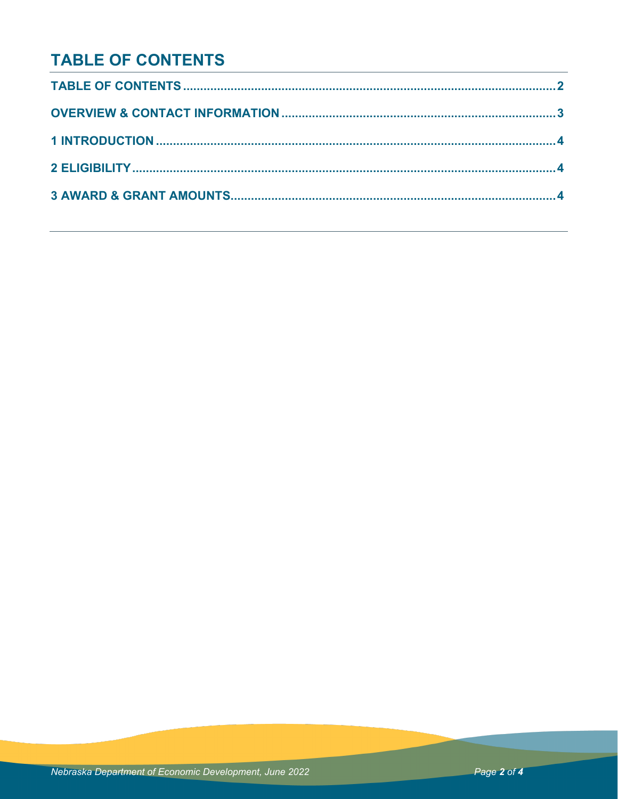#### **TABLE OF CONTENTS**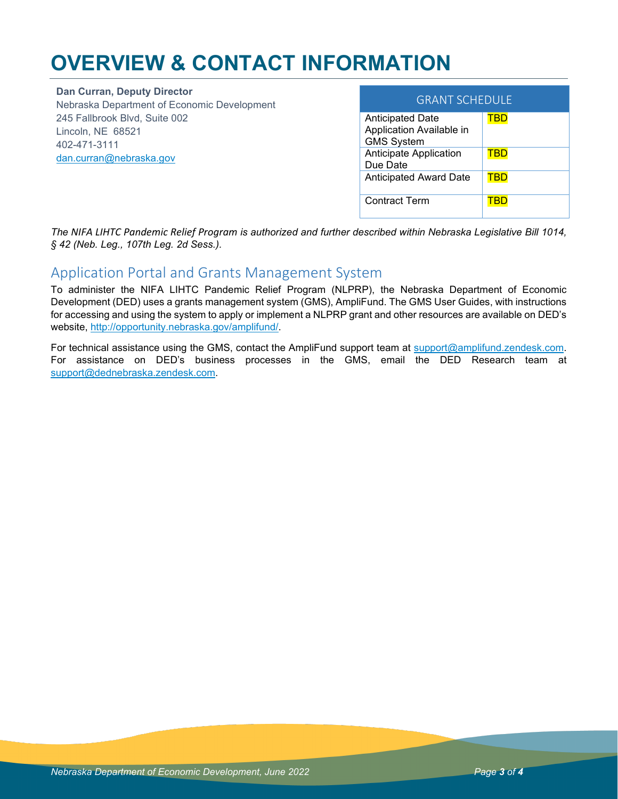### **OVERVIEW & CONTACT INFORMATION**

**Dan Curran, Deputy Director** Nebraska Department of Economic Development 245 Fallbrook Blvd, Suite 002 Lincoln, NE 68521 402-471-3111 [dan.curran@nebraska.gov](mailto:dan.curran@nebraska.gov) 

| <b>GRANT SCHEDULE</b>                                                    |     |  |
|--------------------------------------------------------------------------|-----|--|
| <b>Anticipated Date</b><br>Application Available in<br><b>GMS System</b> |     |  |
| Anticipate Application<br>Due Date                                       | TBD |  |
| <b>Anticipated Award Date</b>                                            |     |  |
| Contract Term                                                            |     |  |

*The NIFA LIHTC Pandemic Relief Program is authorized and further described within Nebraska Legislative Bill 1014, § 42 (Neb. Leg., 107th Leg. 2d Sess.).*

#### Application Portal and Grants Management System

To administer the NIFA LIHTC Pandemic Relief Program (NLPRP), the Nebraska Department of Economic Development (DED) uses a grants management system (GMS), AmpliFund. The GMS User Guides, with instructions for accessing and using the system to apply or implement a NLPRP grant and other resources are available on DED's website, [http://opportunity.nebraska.gov/amplifund/.](http://opportunity.nebraska.gov/amplifund/)

For technical assistance using the GMS, contact the AmpliFund support team at [support@amplifund.zendesk.com.](mailto:support@amplifund.zendesk.com) For assistance on DED's business processes in the GMS, email the DED Research team at [support@dednebraska.zendesk.com.](mailto:support@dednebraska.zendesk.com)